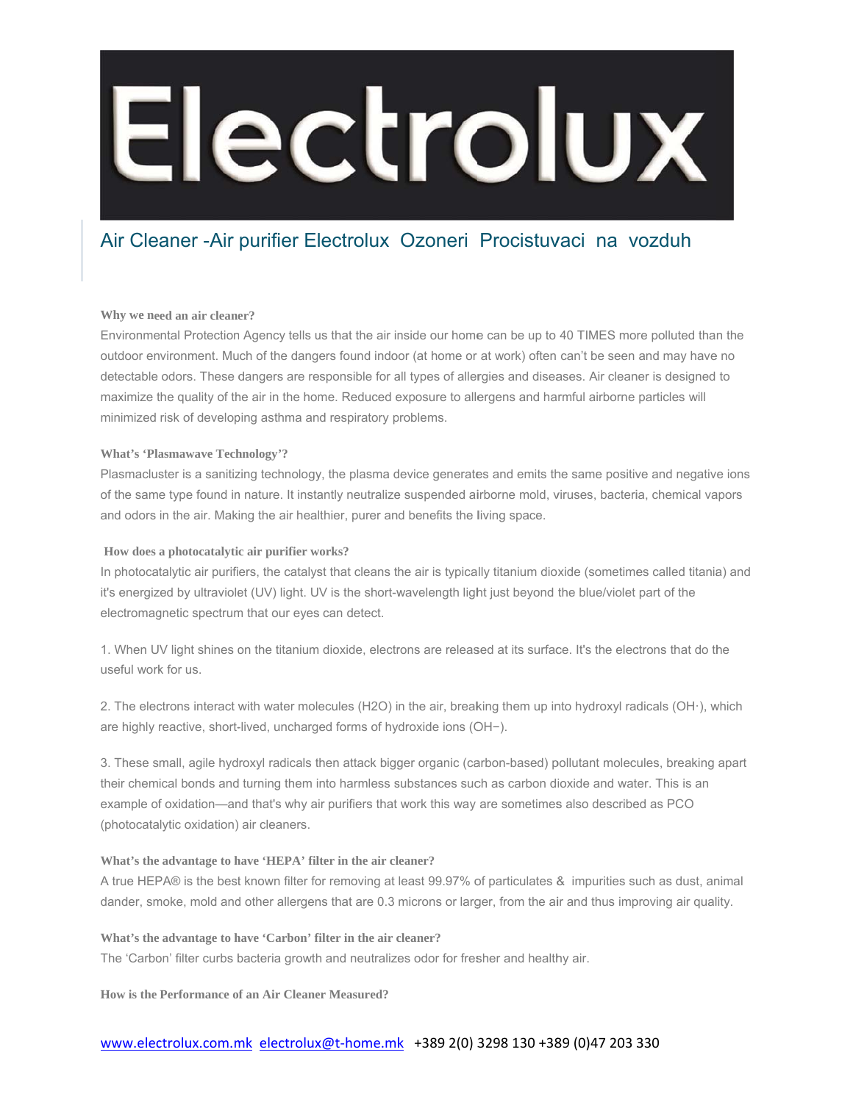## Electrolux

## Air Cleaner - Air purifier Electrolux Ozoneri Procistuvaci na vozduh

### Why we need an air cleaner?

Environmental Protection Agency tells us that the air inside our home can be up to 40 TIMES more polluted than the outdoor environment. Much of the dangers found indoor (at home or at work) often can't be seen and may have no detectable odors. These dangers are responsible for all types of allergies and diseases. Air cleaner is designed to maximize the quality of the air in the home. Reduced exposure to allergens and harmful airborne particles will minimized risk of developing asthma and respiratory problems.

### **What's 'Plasmawave Technology'?**

Plasmacluster is a sanitizing technology, the plasma device generates and emits the same positive and negative ions of the same type found in nature. It instantly neutralize suspended airborne mold, viruses, bacteria, chemical vapors and odors in the air. Making the air healthier, purer and benefits the living space.

### How does a photocatalytic air purifier works?

In photocatalytic air purifiers, the catalyst that cleans the air is typically titanium dioxide (sometimes called titania) and it's energized by ultraviolet (UV) light. UV is the short-wavelength light just beyond the blue/violet part of the electromagnetic spectrum that our eyes can detect.

1. When UV light shines on the titanium dioxide, electrons are released at its surface. It's the electrons that do the useful work for us.

2. The electrons interact with water molecules (H2O) in the air, breaking them up into hydroxyl radicals (OH·), which are highly reactive, short-lived, uncharged forms of hydroxide ions (OH-).

3. These small, agile hydroxyl radicals then attack bigger organic (carbon-based) pollutant molecules, breaking apart their chemical bonds and turning them into harmless substances such as carbon dioxide and water. This is an example of oxidation—and that's why air purifiers that work this way are sometimes also described as PCO (photocatalytic oxidation) air cleaners.

### What's the advantage to have 'HEPA' filter in the air cleaner?

A true HEPA® is the best known filter for removing at least 99.97% of particulates & impurities such as dust, animal dander, smoke, mold and other allergens that are 0.3 microns or larger, from the air and thus improving air quality.

What's the advantage to have 'Carbon' filter in the air cleaner?

The 'Carbon' filter curbs bacteria growth and neutralizes odor for fresher and healthy air.

How is the Performance of an Air Cleaner Measured?